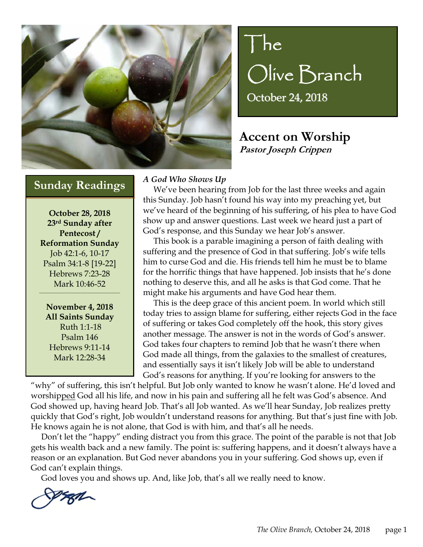

 $|he|$ Olive Branch October 24, 2018

**Accent on Worship Pastor Joseph Crippen**

## **Sunday Readings** *A God Who Shows Up*

**October 28, 2018 23rd Sunday after Pentecost / Reformation Sunday**  Job 42:1-6, 10-17 Psalm 34:1-8 [19-22] Hebrews 7:23-28 Mark 10:46-52

\_\_\_\_\_\_\_\_\_\_\_\_\_\_\_\_\_\_\_\_\_\_\_\_\_\_\_\_\_\_\_\_\_\_\_\_\_\_\_\_\_\_\_\_\_\_\_

**November 4, 2018 All Saints Sunday**  Ruth 1:1-18 Psalm 146 Hebrews 9:11-14 Mark 12:28-34

 We've been hearing from Job for the last three weeks and again this Sunday. Job hasn't found his way into my preaching yet, but we've heard of the beginning of his suffering, of his plea to have God show up and answer questions. Last week we heard just a part of God's response, and this Sunday we hear Job's answer.

 This book is a parable imagining a person of faith dealing with suffering and the presence of God in that suffering. Job's wife tells him to curse God and die. His friends tell him he must be to blame for the horrific things that have happened. Job insists that he's done nothing to deserve this, and all he asks is that God come. That he might make his arguments and have God hear them.

 This is the deep grace of this ancient poem. In world which still today tries to assign blame for suffering, either rejects God in the face of suffering or takes God completely off the hook, this story gives another message. The answer is not in the words of God's answer. God takes four chapters to remind Job that he wasn't there when God made all things, from the galaxies to the smallest of creatures, and essentially says it isn't likely Job will be able to understand God's reasons for anything. If you're looking for answers to the

"why" of suffering, this isn't helpful. But Job only wanted to know he wasn't alone. He'd loved and worshipped God all his life, and now in his pain and suffering all he felt was God's absence. And God showed up, having heard Job. That's all Job wanted. As we'll hear Sunday, Job realizes pretty quickly that God's right, Job wouldn't understand reasons for anything. But that's just fine with Job. He knows again he is not alone, that God is with him, and that's all he needs.

 Don't let the "happy" ending distract you from this grace. The point of the parable is not that Job gets his wealth back and a new family. The point is: suffering happens, and it doesn't always have a reason or an explanation. But God never abandons you in your suffering. God shows up, even if God can't explain things.

God loves you and shows up. And, like Job, that's all we really need to know.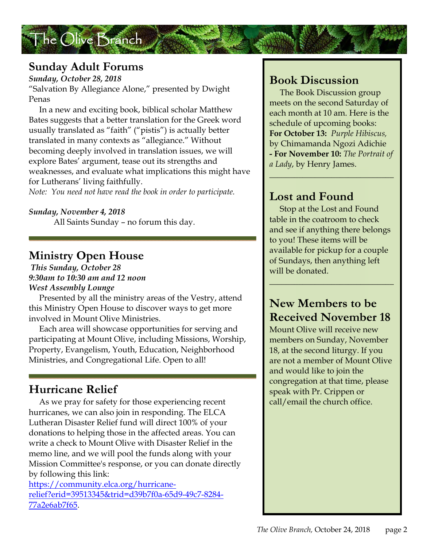

#### **Sunday Adult Forums**

*Sunday, October 28, 2018* "Salvation By Allegiance Alone," presented by Dwight Penas

 In a new and exciting book, biblical scholar Matthew Bates suggests that a better translation for the Greek word usually translated as "faith" ("pistis") is actually better translated in many contexts as "allegiance." Without becoming deeply involved in translation issues, we will explore Bates' argument, tease out its strengths and weaknesses, and evaluate what implications this might have for Lutherans' living faithfully.

*Note: You need not have read the book in order to participate.* 

#### *Sunday, November 4, 2018*

All Saints Sunday – no forum this day.

## **Ministry Open House**

 *This Sunday, October 28 9:30am to 10:30 am and 12 noon West Assembly Lounge*

 Presented by all the ministry areas of the Vestry, attend this Ministry Open House to discover ways to get more involved in Mount Olive Ministries.

 Each area will showcase opportunities for serving and participating at Mount Olive, including Missions, Worship, Property, Evangelism, Youth, Education, Neighborhood Ministries, and Congregational Life. Open to all!

## **Hurricane Relief**

 As we pray for safety for those experiencing recent hurricanes, we can also join in responding. The ELCA Lutheran Disaster Relief fund will direct 100% of your donations to helping those in the affected areas. You can write a check to Mount Olive with Disaster Relief in the memo line, and we will pool the funds along with your Mission Committee's response, or you can donate directly by following this link:

https://community.elca.org/hurricanerelief?erid=39513345&trid=d39b7f0a-65d9-49c7-8284- 77a2e6ab7f65.

## **Book Discussion**

 The Book Discussion group meets on the second Saturday of each month at 10 am. Here is the schedule of upcoming books: **For October 13:** *Purple Hibiscus,* by Chimamanda Ngozi Adichie **- For November 10:** *The Portrait of a Lady*, by Henry James.

 $\_$ 

#### **Lost and Found**

 Stop at the Lost and Found table in the coatroom to check and see if anything there belongs to you! These items will be available for pickup for a couple of Sundays, then anything left will be donated.

## **New Members to be Received November 18**

 $\_$ 

Mount Olive will receive new members on Sunday, November 18, at the second liturgy. If you are not a member of Mount Olive and would like to join the congregation at that time, please speak with Pr. Crippen or call/email the church office.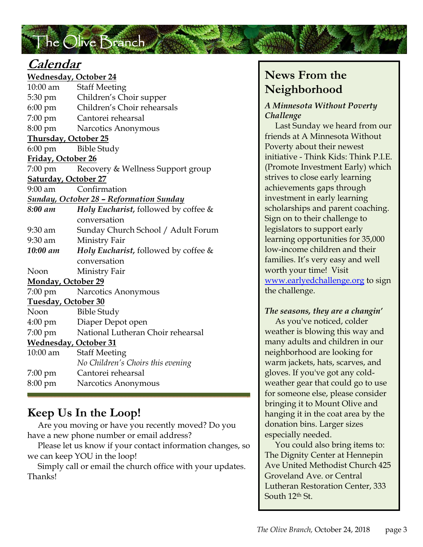# The Olive Branch

## **Calendar**

| <b>Wednesday, October 24</b>                          |                                      |
|-------------------------------------------------------|--------------------------------------|
| $10:00$ am                                            | <b>Staff Meeting</b>                 |
| 5:30 pm                                               | Children's Choir supper              |
| $6:00 \text{ pm}$                                     | Children's Choir rehearsals          |
| $7:00$ pm                                             | Cantorei rehearsal                   |
| 8:00 pm                                               | Narcotics Anonymous                  |
| Thursday, October 25                                  |                                      |
| $6:00 \text{ pm}$                                     | <b>Bible Study</b>                   |
| Friday, October 26                                    |                                      |
| 7:00 pm                                               | Recovery & Wellness Support group    |
| <b>Saturday, October 27</b>                           |                                      |
| $9:00$ am                                             | Confirmation                         |
| <b><u>Sunday, October 28 - Reformation Sunday</u></b> |                                      |
| 8:00 am                                               | Holy Eucharist, followed by coffee & |
|                                                       | conversation                         |
| $9:30$ am                                             | Sunday Church School / Adult Forum   |
| 9:30 am                                               | Ministry Fair                        |
| 10:00 am                                              | Holy Eucharist, followed by coffee & |
|                                                       | conversation                         |
| Noon                                                  | Ministry Fair                        |
| Monday, October 29                                    |                                      |
| $7:00 \text{ pm}$                                     | Narcotics Anonymous                  |
| Tuesday, October 30                                   |                                      |
| Noon                                                  | <b>Bible Study</b>                   |
| 4:00 pm                                               | Diaper Depot open                    |
| 7:00 pm                                               | National Lutheran Choir rehearsal    |
| <b>Wednesday, October 31</b>                          |                                      |
| 10:00 am                                              | <b>Staff Meeting</b>                 |
|                                                       | No Children's Choirs this evening    |
| $7:00 \text{ pm}$                                     | Cantorei rehearsal                   |
| 8:00 pm                                               | Narcotics Anonymous                  |

## **Keep Us In the Loop!**

 Are you moving or have you recently moved? Do you have a new phone number or email address?

 Please let us know if your contact information changes, so we can keep YOU in the loop!

 Simply call or email the church office with your updates. Thanks!

## **News From the Neighborhood**

#### *A Minnesota Without Poverty Challenge*

 Last Sunday we heard from our friends at A Minnesota Without Poverty about their newest initiative - Think Kids: Think P.I.E. (Promote Investment Early) which strives to close early learning achievements gaps through investment in early learning scholarships and parent coaching. Sign on to their challenge to legislators to support early learning opportunities for 35,000 low-income children and their families. It's very easy and well worth your time! Visit www.earlyedchallenge.org to sign the challenge.

#### *The seasons, they are a changin'*

 As you've noticed, colder weather is blowing this way and many adults and children in our neighborhood are looking for warm jackets, hats, scarves, and gloves. If you've got any coldweather gear that could go to use for someone else, please consider bringing it to Mount Olive and hanging it in the coat area by the donation bins. Larger sizes especially needed.

 You could also bring items to: The Dignity Center at Hennepin Ave United Methodist Church 425 Groveland Ave. or Central Lutheran Restoration Center, 333 South 12<sup>th</sup> St.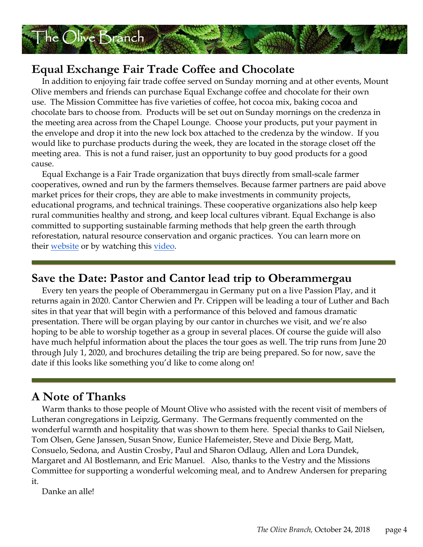## **Equal Exchange Fair Trade Coffee and Chocolate**

 In addition to enjoying fair trade coffee served on Sunday morning and at other events, Mount Olive members and friends can purchase Equal Exchange coffee and chocolate for their own use. The Mission Committee has five varieties of coffee, hot cocoa mix, baking cocoa and chocolate bars to choose from. Products will be set out on Sunday mornings on the credenza in the meeting area across from the Chapel Lounge. Choose your products, put your payment in the envelope and drop it into the new lock box attached to the credenza by the window. If you would like to purchase products during the week, they are located in the storage closet off the meeting area. This is not a fund raiser, just an opportunity to buy good products for a good cause.

 Equal Exchange is a Fair Trade organization that buys directly from small-scale farmer cooperatives, owned and run by the farmers themselves. Because farmer partners are paid above market prices for their crops, they are able to make investments in community projects, educational programs, and technical trainings. These cooperative organizations also help keep rural communities healthy and strong, and keep local cultures vibrant. Equal Exchange is also committed to supporting sustainable farming methods that help green the earth through reforestation, natural resource conservation and organic practices. You can learn more on their website or by watching this video.

#### **Save the Date: Pastor and Cantor lead trip to Oberammergau**

 Every ten years the people of Oberammergau in Germany put on a live Passion Play, and it returns again in 2020. Cantor Cherwien and Pr. Crippen will be leading a tour of Luther and Bach sites in that year that will begin with a performance of this beloved and famous dramatic presentation. There will be organ playing by our cantor in churches we visit, and we're also hoping to be able to worship together as a group in several places. Of course the guide will also have much helpful information about the places the tour goes as well. The trip runs from June 20 through July 1, 2020, and brochures detailing the trip are being prepared. So for now, save the date if this looks like something you'd like to come along on!

## **A Note of Thanks**

 Warm thanks to those people of Mount Olive who assisted with the recent visit of members of Lutheran congregations in Leipzig, Germany. The Germans frequently commented on the wonderful warmth and hospitality that was shown to them here. Special thanks to Gail Nielsen, Tom Olsen, Gene Janssen, Susan Snow, Eunice Hafemeister, Steve and Dixie Berg, Matt, Consuelo, Sedona, and Austin Crosby, Paul and Sharon Odlaug, Allen and Lora Dundek, Margaret and Al Bostlemann, and Eric Manuel. Also, thanks to the Vestry and the Missions Committee for supporting a wonderful welcoming meal, and to Andrew Andersen for preparing it.

Danke an alle!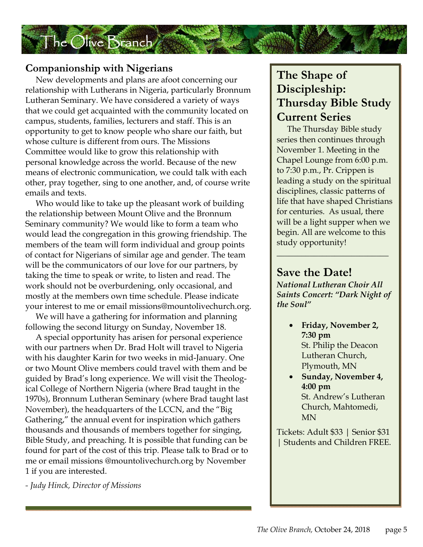

#### **Companionship with Nigerians**

 New developments and plans are afoot concerning our relationship with Lutherans in Nigeria, particularly Bronnum Lutheran Seminary. We have considered a variety of ways that we could get acquainted with the community located on campus, students, families, lecturers and staff. This is an opportunity to get to know people who share our faith, but whose culture is different from ours. The Missions Committee would like to grow this relationship with personal knowledge across the world. Because of the new means of electronic communication, we could talk with each other, pray together, sing to one another, and, of course write emails and texts.

will be the communicators of our love for our partners, by Who would like to take up the pleasant work of building the relationship between Mount Olive and the Bronnum Seminary community? We would like to form a team who would lead the congregation in this growing friendship. The members of the team will form individual and group points of contact for Nigerians of similar age and gender. The team taking the time to speak or write, to listen and read. The work should not be overburdening, only occasional, and mostly at the members own time schedule. Please indicate your interest to me or email missions@mountolivechurch.org.

 We will have a gathering for information and planning following the second liturgy on Sunday, November 18.

 A special opportunity has arisen for personal experience with our partners when Dr. Brad Holt will travel to Nigeria with his daughter Karin for two weeks in mid-January. One or two Mount Olive members could travel with them and be guided by Brad's long experience. We will visit the Theological College of Northern Nigeria (where Brad taught in the 1970s), Bronnum Lutheran Seminary (where Brad taught last November), the headquarters of the LCCN, and the "Big Gathering," the annual event for inspiration which gathers thousands and thousands of members together for singing, Bible Study, and preaching. It is possible that funding can be found for part of the cost of this trip. Please talk to Brad or to me or email missions @mountolivechurch.org by November 1 if you are interested.

*- Judy Hinck, Director of Missions* 

## **The Shape of Discipleship: Thursday Bible Study Current Series**

 The Thursday Bible study series then continues through November 1. Meeting in the Chapel Lounge from 6:00 p.m. to 7:30 p.m., Pr. Crippen is leading a study on the spiritual disciplines, classic patterns of life that have shaped Christians for centuries. As usual, there will be a light supper when we begin. All are welcome to this study opportunity!

#### **Save the Date!**

*National Lutheran Choir All Saints Concert: "Dark Night of the Soul"* 

 $\_$ 

- **Friday, November 2, 7:30 pm**  St. Philip the Deacon Lutheran Church, Plymouth, MN
- **Sunday, November 4, 4:00 pm**  St. Andrew's Lutheran Church, Mahtomedi, MN

Tickets: Adult \$33 | Senior \$31 | Students and Children FREE.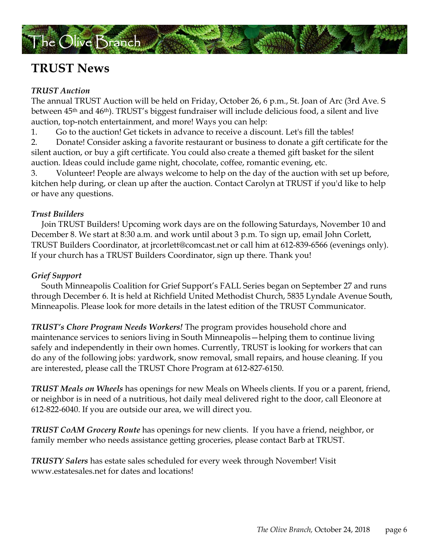

## **TRUST News**

#### *TRUST Auction*

The annual TRUST Auction will be held on Friday, October 26, 6 p.m., St. Joan of Arc (3rd Ave. S between 45<sup>th</sup> and 46<sup>th</sup>). TRUST's biggest fundraiser will include delicious food, a silent and live auction, top-notch entertainment, and more! Ways you can help:

1. Go to the auction! Get tickets in advance to receive a discount. Let's fill the tables!

2. Donate! Consider asking a favorite restaurant or business to donate a gift certificate for the silent auction, or buy a gift certificate. You could also create a themed gift basket for the silent auction. Ideas could include game night, chocolate, coffee, romantic evening, etc.

3. Volunteer! People are always welcome to help on the day of the auction with set up before, kitchen help during, or clean up after the auction. Contact Carolyn at TRUST if you'd like to help or have any questions.

#### *Trust Builders*

 Join TRUST Builders! Upcoming work days are on the following Saturdays, November 10 and December 8. We start at 8:30 a.m. and work until about 3 p.m. To sign up, email John Corlett, TRUST Builders Coordinator, at jrcorlett@comcast.net or call him at 612-839-6566 (evenings only). If your church has a TRUST Builders Coordinator, sign up there. Thank you!

#### *Grief Support*

 South Minneapolis Coalition for Grief Support's FALL Series began on September 27 and runs through December 6. It is held at Richfield United Methodist Church, 5835 Lyndale Avenue South, Minneapolis. Please look for more details in the latest edition of the TRUST Communicator.

*TRUST's Chore Program Needs Workers!* The program provides household chore and maintenance services to seniors living in South Minneapolis—helping them to continue living safely and independently in their own homes. Currently, TRUST is looking for workers that can do any of the following jobs: yardwork, snow removal, small repairs, and house cleaning. If you are interested, please call the TRUST Chore Program at 612-827-6150.

*TRUST Meals on Wheels* has openings for new Meals on Wheels clients. If you or a parent, friend, or neighbor is in need of a nutritious, hot daily meal delivered right to the door, call Eleonore at 612-822-6040. If you are outside our area, we will direct you.

*TRUST CoAM Grocery Route* has openings for new clients. If you have a friend, neighbor, or family member who needs assistance getting groceries, please contact Barb at TRUST.

*TRUSTY Salers* has estate sales scheduled for every week through November! Visit www.estatesales.net for dates and locations!